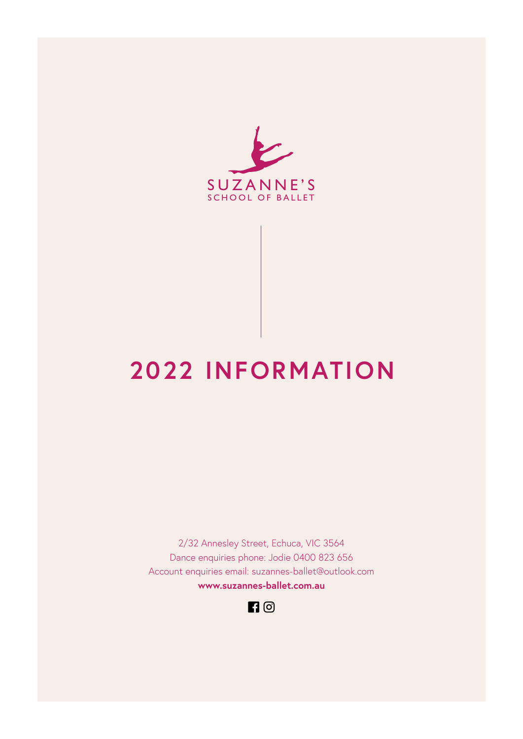

# **2022 INFORMATION**

2/32 Annesley Street, Echuca, VIC 3564 Dance enquiries phone: Jodie 0400 823 656 Account enquiries email: [suzannes-ballet@outlook.com](mailto:suzannes-ballet@outlook.com) **[www.suzannes-ballet.com.au](http://www.suzannes-ballet.com.au/index.html)**

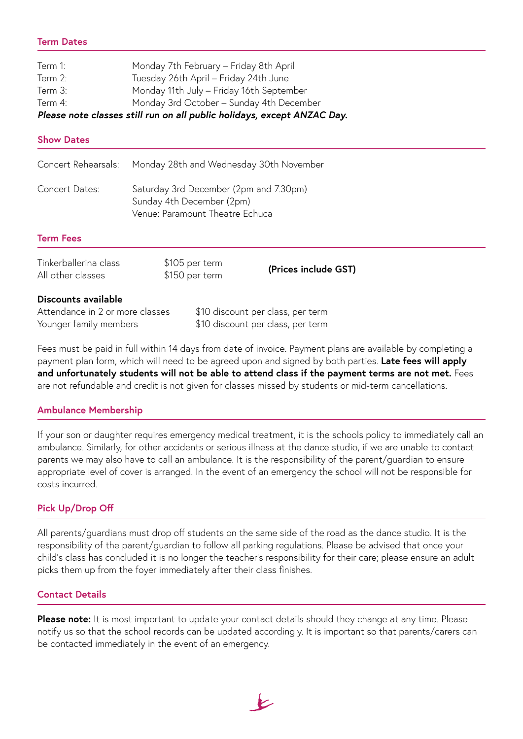# **Term Dates**

| Term 1: | Monday 7th February - Friday 8th April                                  |
|---------|-------------------------------------------------------------------------|
| Term 2: | Tuesday 26th April - Friday 24th June                                   |
| Term 3: | Monday 11th July - Friday 16th September                                |
| Term 4: | Monday 3rd October - Sunday 4th December                                |
|         | Please note classes still run on all public holidays, except ANZAC Day. |
|         |                                                                         |

#### **Show Dates**

| Tinkerballerina class<br>All other classes | \$105 per term<br>\$150 per term | (Prices include GST) |
|--------------------------------------------|----------------------------------|----------------------|
| - -                                        |                                  |                      |

#### **Discounts available**

| Attendance in 2 or more classes | \$10 discount per class, per term |
|---------------------------------|-----------------------------------|
| Younger family members          | \$10 discount per class, per term |

Fees must be paid in full within 14 days from date of invoice. Payment plans are available by completing a payment plan form, which will need to be agreed upon and signed by both parties. **Late fees will apply and unfortunately students will not be able to attend class if the payment terms are not met.** Fees are not refundable and credit is not given for classes missed by students or mid-term cancellations.

### **Ambulance Membership**

If your son or daughter requires emergency medical treatment, it is the schools policy to immediately call an ambulance. Similarly, for other accidents or serious illness at the dance studio, if we are unable to contact parents we may also have to call an ambulance. It is the responsibility of the parent/guardian to ensure appropriate level of cover is arranged. In the event of an emergency the school will not be responsible for costs incurred.

# **Pick Up/Drop Off**

All parents/guardians must drop off students on the same side of the road as the dance studio. It is the responsibility of the parent/guardian to follow all parking regulations. Please be advised that once your child's class has concluded it is no longer the teacher's responsibility for their care; please ensure an adult picks them up from the foyer immediately after their class finishes.

### **Contact Details**

**Please note:** It is most important to update your contact details should they change at any time. Please notify us so that the school records can be updated accordingly. It is important so that parents/carers can be contacted immediately in the event of an emergency.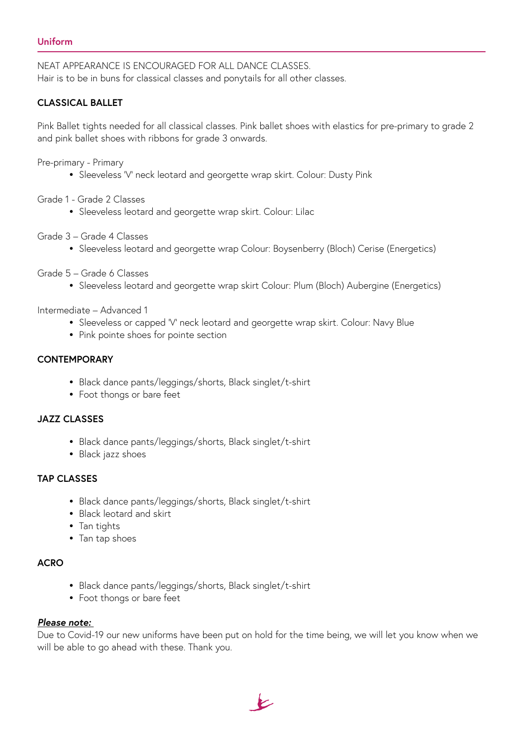NEAT APPEARANCE IS ENCOURAGED FOR ALL DANCE CLASSES. Hair is to be in buns for classical classes and ponytails for all other classes.

# **CLASSICAL BALLET**

Pink Ballet tights needed for all classical classes. Pink ballet shoes with elastics for pre-primary to grade 2 and pink ballet shoes with ribbons for grade 3 onwards.

Pre-primary - Primary

- � Sleeveless 'V' neck leotard and georgette wrap skirt. Colour: Dusty Pink
- Grade 1 Grade 2 Classes
	- � Sleeveless leotard and georgette wrap skirt. Colour: Lilac
- Grade 3 Grade 4 Classes
	- � Sleeveless leotard and georgette wrap Colour: Boysenberry (Bloch) Cerise (Energetics)
- Grade 5 Grade 6 Classes
	- � Sleeveless leotard and georgette wrap skirt Colour: Plum (Bloch) Aubergine (Energetics)

Intermediate – Advanced 1

- � Sleeveless or capped 'V' neck leotard and georgette wrap skirt. Colour: Navy Blue
- � Pink pointe shoes for pointe section

# **CONTEMPORARY**

- � Black dance pants/leggings/shorts, Black singlet/t-shirt
- � Foot thongs or bare feet

### **JAZZ CLASSES**

- � Black dance pants/leggings/shorts, Black singlet/t-shirt
- Black jazz shoes

### **TAP CLASSES**

- � Black dance pants/leggings/shorts, Black singlet/t-shirt
- � Black leotard and skirt
- Tan tights
- Tan tap shoes

# **ACRO**

- � Black dance pants/leggings/shorts, Black singlet/t-shirt
- � Foot thongs or bare feet

# *Please note:*

Due to Covid-19 our new uniforms have been put on hold for the time being, we will let you know when we will be able to go ahead with these. Thank you.

 $\overline{\mathcal{L}}$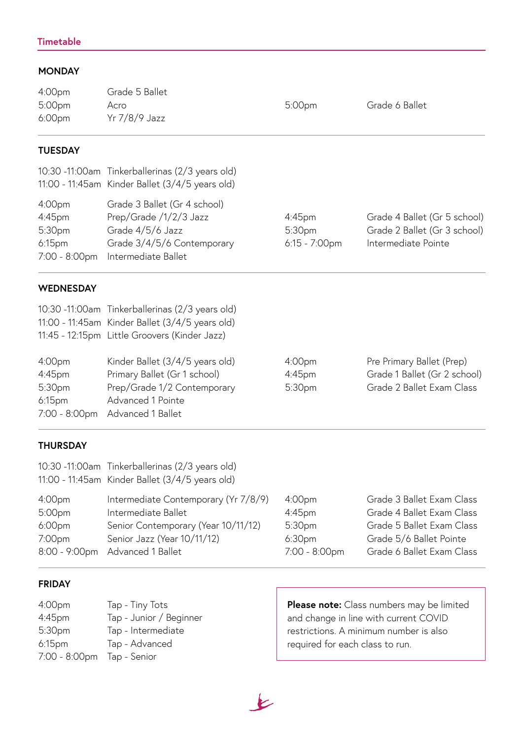## **MONDAY**

| 4:00pm<br>5:00pm<br>6:00pm                                           | Grade 5 Ballet<br>Acro<br>Yr 7/8/9 Jazz                                                                                                                       | 5:00pm                                                                            | Grade 6 Ballet                                                                               |
|----------------------------------------------------------------------|---------------------------------------------------------------------------------------------------------------------------------------------------------------|-----------------------------------------------------------------------------------|----------------------------------------------------------------------------------------------|
| <b>TUESDAY</b>                                                       |                                                                                                                                                               |                                                                                   |                                                                                              |
|                                                                      | 10:30 -11:00am Tinkerballerinas (2/3 years old)<br>11:00 - 11:45am Kinder Ballet (3/4/5 years old)                                                            |                                                                                   |                                                                                              |
| 4:00pm<br>$4:45$ pm<br>5:30pm<br>6:15 <sub>pm</sub><br>7:00 - 8:00pm | Grade 3 Ballet (Gr 4 school)<br>Prep/Grade /1/2/3 Jazz<br>Grade 4/5/6 Jazz<br>Grade 3/4/5/6 Contemporary<br>Intermediate Ballet                               | $4:45$ pm<br>5:30pm<br>$6:15 - 7:00$ pm                                           | Grade 4 Ballet (Gr 5 school)<br>Grade 2 Ballet (Gr 3 school)<br>Intermediate Pointe          |
| <b>WEDNESDAY</b>                                                     |                                                                                                                                                               |                                                                                   |                                                                                              |
|                                                                      | 10:30 -11:00am Tinkerballerinas (2/3 years old)<br>11:00 - 11:45am Kinder Ballet (3/4/5 years old)<br>11:45 - 12:15pm Little Groovers (Kinder Jazz)           |                                                                                   |                                                                                              |
| 4:00pm<br>4:45pm<br>$\Gamma. \Omega \cap \mathcal{L}_{\text{max}}$   | Kinder Ballet (3/4/5 years old)<br>Primary Ballet (Gr 1 school)<br>$D_{\text{max}}/C_{\text{max}}$ of 1/2 $C_{\text{max}}$ are $\alpha$ as $n \in \mathbb{Z}$ | 4:00 <sub>pm</sub><br>$4:45$ pm<br>$\Gamma$ . $\Omega$ $\Omega$ <sub>in inc</sub> | Pre Primary Ballet (Prep)<br>Grade 1 Ballet (Gr 2 school)<br>$C$ rada $2$ Dallat Eugen Class |

| 4:00 <sub>pm</sub><br>$4:45$ pm<br>5:30pm<br>6:15 <sub>pm</sub><br>7:00 - 8:00pm | Kinder Ballet (3/4/5 years old)<br>Primary Ballet (Gr 1 school)<br>Prep/Grade 1/2 Contemporary<br>Advanced 1 Pointe<br>Advanced 1 Ballet                | 4:00 <sub>pm</sub><br>$4:45$ pm<br>5:30 <sub>pm</sub> | Pre Primary Ballet (Prep)<br>Grade 1 Ballet (Gr 2 school)<br>Grade 2 Ballet Exam Class |
|----------------------------------------------------------------------------------|---------------------------------------------------------------------------------------------------------------------------------------------------------|-------------------------------------------------------|----------------------------------------------------------------------------------------|
|                                                                                  | TU.SU -TI.UUdITE TIITKEIDAIIEHITAS (Z/ 3 yedis 010)<br>11:00 - 11:45am Kinder Ballet (3/4/5 years old)<br>11:45 - 12:15pm Little Groovers (Kinder Jazz) |                                                       |                                                                                        |

# **THURSDAY**

|                    | 10:30 -11:00am Tinkerballerinas (2/3 years old)<br>11:00 - 11:45am Kinder Ballet (3/4/5 years old) |                    |                           |
|--------------------|----------------------------------------------------------------------------------------------------|--------------------|---------------------------|
| 4:00 <sub>pm</sub> | Intermediate Contemporary (Yr 7/8/9)                                                               | 4:00 <sub>pm</sub> | Grade 3 Ballet Exam Class |
| 5:00pm             | Intermediate Ballet                                                                                | $4:45$ pm          | Grade 4 Ballet Exam Class |
| 6:00 <sub>pm</sub> | Senior Contemporary (Year 10/11/12)                                                                | 5:30 <sub>pm</sub> | Grade 5 Ballet Exam Class |
| 7:00pm             | Senior Jazz (Year 10/11/12)                                                                        | 6:30 <sub>pm</sub> | Grade 5/6 Ballet Pointe   |
| $8:00 - 9:00$ pm   | Advanced 1 Ballet                                                                                  | 7:00 - 8:00pm      | Grade 6 Ballet Exam Class |

# **FRIDAY**

| 4:00pm             | Tap - Tiny Tots         |
|--------------------|-------------------------|
| 4:45pm             | Tap - Junior / Beginner |
| 5:30pm             | Tap - Intermediate      |
| 6:15 <sub>pm</sub> | Tap - Advanced          |
| 7:00 - 8:00pm      | Tap - Senior            |
|                    |                         |

**Please note:** Class numbers may be limited and change in line with current COVID restrictions. A minimum number is also required for each class to run.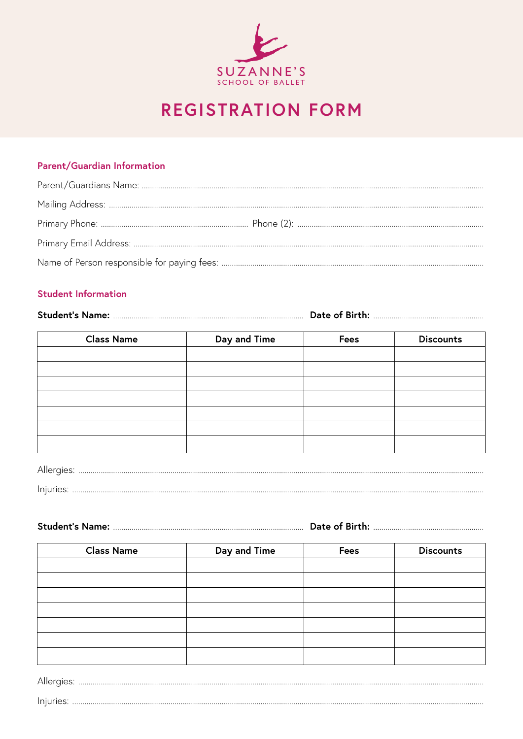

# **REGISTRATION FORM**

### Parent/Guardian Information

# **Student Information**

| <b>Class Name</b> | Day and Time | <b>Fees</b> | <b>Discounts</b> |
|-------------------|--------------|-------------|------------------|
|                   |              |             |                  |
|                   |              |             |                  |
|                   |              |             |                  |
|                   |              |             |                  |
|                   |              |             |                  |
|                   |              |             |                  |
|                   |              |             |                  |
|                   |              |             |                  |

| Injuries: |  |  |  |  |  |
|-----------|--|--|--|--|--|

| <b>Student's Name:</b><br>Date of Birth: |
|------------------------------------------|
|------------------------------------------|

| <b>Class Name</b> | Day and Time | <b>Fees</b> | <b>Discounts</b> |  |
|-------------------|--------------|-------------|------------------|--|
|                   |              |             |                  |  |
|                   |              |             |                  |  |
|                   |              |             |                  |  |
|                   |              |             |                  |  |
|                   |              |             |                  |  |
|                   |              |             |                  |  |
|                   |              |             |                  |  |